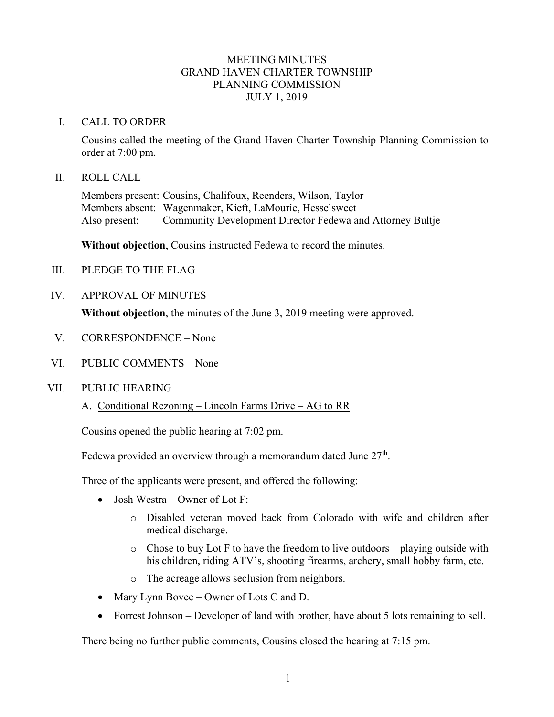## MEETING MINUTES GRAND HAVEN CHARTER TOWNSHIP PLANNING COMMISSION JULY 1, 2019

#### I. CALL TO ORDER

Cousins called the meeting of the Grand Haven Charter Township Planning Commission to order at 7:00 pm.

#### II. ROLL CALL

Members present: Cousins, Chalifoux, Reenders, Wilson, Taylor Members absent: Wagenmaker, Kieft, LaMourie, Hesselsweet Also present: Community Development Director Fedewa and Attorney Bultje

**Without objection**, Cousins instructed Fedewa to record the minutes.

- III. PLEDGE TO THE FLAG
- IV. APPROVAL OF MINUTES

**Without objection**, the minutes of the June 3, 2019 meeting were approved.

- V. CORRESPONDENCE None
- VI. PUBLIC COMMENTS None

#### VII. PUBLIC HEARING

A. Conditional Rezoning – Lincoln Farms Drive – AG to RR

Cousins opened the public hearing at 7:02 pm.

Fedewa provided an overview through a memorandum dated June 27<sup>th</sup>.

Three of the applicants were present, and offered the following:

- Josh Westra Owner of Lot F:
	- o Disabled veteran moved back from Colorado with wife and children after medical discharge.
	- $\circ$  Chose to buy Lot F to have the freedom to live outdoors playing outside with his children, riding ATV's, shooting firearms, archery, small hobby farm, etc.
	- o The acreage allows seclusion from neighbors.
- Mary Lynn Bovee Owner of Lots C and D.
- Forrest Johnson Developer of land with brother, have about 5 lots remaining to sell.

There being no further public comments, Cousins closed the hearing at 7:15 pm.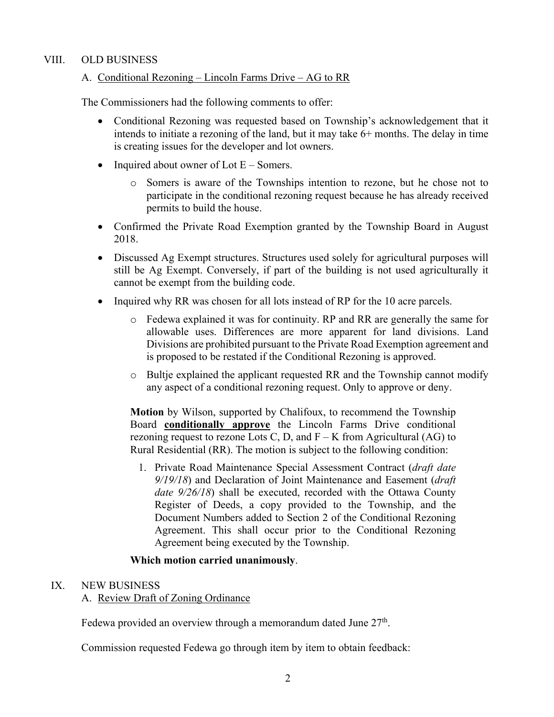## VIII. OLD BUSINESS

## A. Conditional Rezoning – Lincoln Farms Drive – AG to RR

The Commissioners had the following comments to offer:

- Conditional Rezoning was requested based on Township's acknowledgement that it intends to initiate a rezoning of the land, but it may take 6+ months. The delay in time is creating issues for the developer and lot owners.
- Inquired about owner of Lot  $E -$ Somers.
	- o Somers is aware of the Townships intention to rezone, but he chose not to participate in the conditional rezoning request because he has already received permits to build the house.
- Confirmed the Private Road Exemption granted by the Township Board in August 2018.
- Discussed Ag Exempt structures. Structures used solely for agricultural purposes will still be Ag Exempt. Conversely, if part of the building is not used agriculturally it cannot be exempt from the building code.
- Inquired why RR was chosen for all lots instead of RP for the 10 acre parcels.
	- o Fedewa explained it was for continuity. RP and RR are generally the same for allowable uses. Differences are more apparent for land divisions. Land Divisions are prohibited pursuant to the Private Road Exemption agreement and is proposed to be restated if the Conditional Rezoning is approved.
	- $\circ$  Bultje explained the applicant requested RR and the Township cannot modify any aspect of a conditional rezoning request. Only to approve or deny.

**Motion** by Wilson, supported by Chalifoux, to recommend the Township Board **conditionally approve** the Lincoln Farms Drive conditional rezoning request to rezone Lots C, D, and  $F - K$  from Agricultural (AG) to Rural Residential (RR). The motion is subject to the following condition:

1. Private Road Maintenance Special Assessment Contract (*draft date 9/19/18*) and Declaration of Joint Maintenance and Easement (*draft date 9/26/18*) shall be executed, recorded with the Ottawa County Register of Deeds, a copy provided to the Township, and the Document Numbers added to Section 2 of the Conditional Rezoning Agreement. This shall occur prior to the Conditional Rezoning Agreement being executed by the Township.

### **Which motion carried unanimously**.

### IX. NEW BUSINESS

### A. Review Draft of Zoning Ordinance

Fedewa provided an overview through a memorandum dated June  $27<sup>th</sup>$ .

Commission requested Fedewa go through item by item to obtain feedback: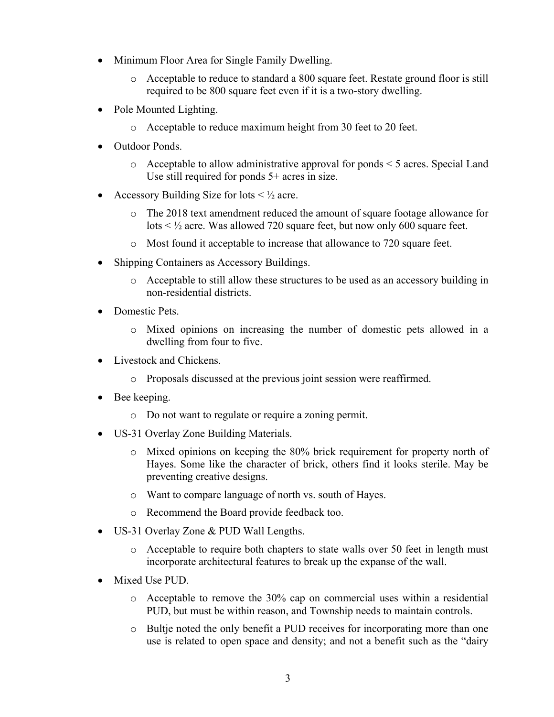- Minimum Floor Area for Single Family Dwelling.
	- o Acceptable to reduce to standard a 800 square feet. Restate ground floor is still required to be 800 square feet even if it is a two-story dwelling.
- Pole Mounted Lighting.
	- o Acceptable to reduce maximum height from 30 feet to 20 feet.
- Outdoor Ponds.
	- o Acceptable to allow administrative approval for ponds < 5 acres. Special Land Use still required for ponds 5+ acres in size.
- Accessory Building Size for lots  $\leq \frac{1}{2}$  acre.
	- o The 2018 text amendment reduced the amount of square footage allowance for lots < ½ acre. Was allowed 720 square feet, but now only 600 square feet.
	- o Most found it acceptable to increase that allowance to 720 square feet.
- Shipping Containers as Accessory Buildings.
	- o Acceptable to still allow these structures to be used as an accessory building in non-residential districts.
- Domestic Pets.
	- o Mixed opinions on increasing the number of domestic pets allowed in a dwelling from four to five.
- Livestock and Chickens.
	- o Proposals discussed at the previous joint session were reaffirmed.
- Bee keeping.
	- o Do not want to regulate or require a zoning permit.
- US-31 Overlay Zone Building Materials.
	- o Mixed opinions on keeping the 80% brick requirement for property north of Hayes. Some like the character of brick, others find it looks sterile. May be preventing creative designs.
	- o Want to compare language of north vs. south of Hayes.
	- o Recommend the Board provide feedback too.
- US-31 Overlay Zone & PUD Wall Lengths.
	- o Acceptable to require both chapters to state walls over 50 feet in length must incorporate architectural features to break up the expanse of the wall.
- Mixed Use PUD.
	- $\circ$  Acceptable to remove the 30% cap on commercial uses within a residential PUD, but must be within reason, and Township needs to maintain controls.
	- o Bultje noted the only benefit a PUD receives for incorporating more than one use is related to open space and density; and not a benefit such as the "dairy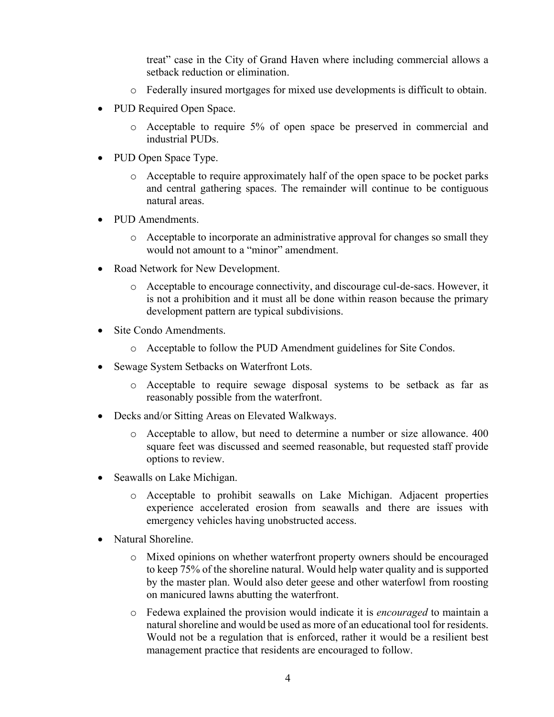treat" case in the City of Grand Haven where including commercial allows a setback reduction or elimination.

- o Federally insured mortgages for mixed use developments is difficult to obtain.
- PUD Required Open Space.
	- o Acceptable to require 5% of open space be preserved in commercial and industrial PUDs.
- PUD Open Space Type.
	- o Acceptable to require approximately half of the open space to be pocket parks and central gathering spaces. The remainder will continue to be contiguous natural areas.
- PUD Amendments.
	- o Acceptable to incorporate an administrative approval for changes so small they would not amount to a "minor" amendment.
- Road Network for New Development.
	- o Acceptable to encourage connectivity, and discourage cul-de-sacs. However, it is not a prohibition and it must all be done within reason because the primary development pattern are typical subdivisions.
- Site Condo Amendments.
	- o Acceptable to follow the PUD Amendment guidelines for Site Condos.
- Sewage System Setbacks on Waterfront Lots.
	- o Acceptable to require sewage disposal systems to be setback as far as reasonably possible from the waterfront.
- Decks and/or Sitting Areas on Elevated Walkways.
	- o Acceptable to allow, but need to determine a number or size allowance. 400 square feet was discussed and seemed reasonable, but requested staff provide options to review.
- Seawalls on Lake Michigan.
	- o Acceptable to prohibit seawalls on Lake Michigan. Adjacent properties experience accelerated erosion from seawalls and there are issues with emergency vehicles having unobstructed access.
- Natural Shoreline.
	- o Mixed opinions on whether waterfront property owners should be encouraged to keep 75% of the shoreline natural. Would help water quality and is supported by the master plan. Would also deter geese and other waterfowl from roosting on manicured lawns abutting the waterfront.
	- o Fedewa explained the provision would indicate it is *encouraged* to maintain a natural shoreline and would be used as more of an educational tool for residents. Would not be a regulation that is enforced, rather it would be a resilient best management practice that residents are encouraged to follow.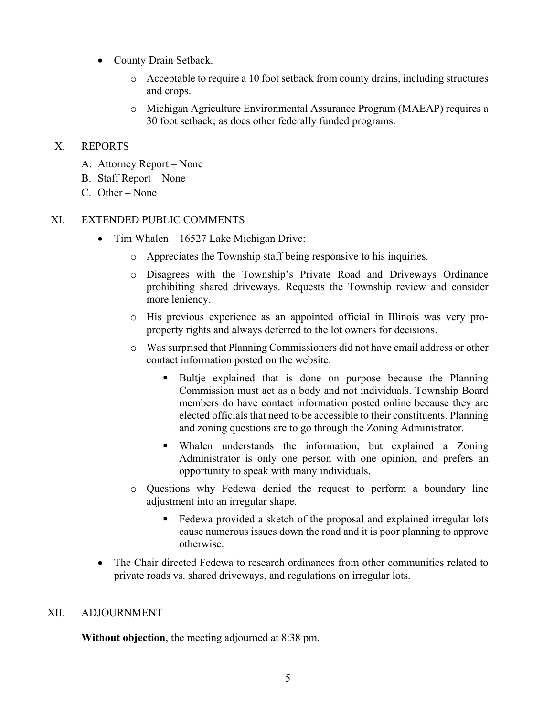- County Drain Setback.
	- o Acceptable to require a 10 foot setback from county drains, including structures and crops.
	- o Michigan Agriculture Environmental Assurance Program (MAEAP) requires a 30 foot setback; as does other federally funded programs.

# X. REPORTS

- A. Attorney Report None
- B. Staff Report None
- C. Other None

# XI. EXTENDED PUBLIC COMMENTS

- Tim Whalen 16527 Lake Michigan Drive:
	- o Appreciates the Township staff being responsive to his inquiries.
	- o Disagrees with the Township's Private Road and Driveways Ordinance prohibiting shared driveways. Requests the Township review and consider more leniency.
	- o His previous experience as an appointed official in Illinois was very proproperty rights and always deferred to the lot owners for decisions.
	- o Was surprised that Planning Commissioners did not have email address or other contact information posted on the website.
		- Bultje explained that is done on purpose because the Planning Commission must act as a body and not individuals. Township Board members do have contact information posted online because they are elected officials that need to be accessible to their constituents. Planning and zoning questions are to go through the Zoning Administrator.
		- Whalen understands the information, but explained a Zoning Administrator is only one person with one opinion, and prefers an opportunity to speak with many individuals.
	- o Questions why Fedewa denied the request to perform a boundary line adjustment into an irregular shape.
		- Fedewa provided a sketch of the proposal and explained irregular lots cause numerous issues down the road and it is poor planning to approve otherwise.
- The Chair directed Fedewa to research ordinances from other communities related to private roads vs. shared driveways, and regulations on irregular lots.

# XII. ADJOURNMENT

**Without objection**, the meeting adjourned at 8:38 pm.